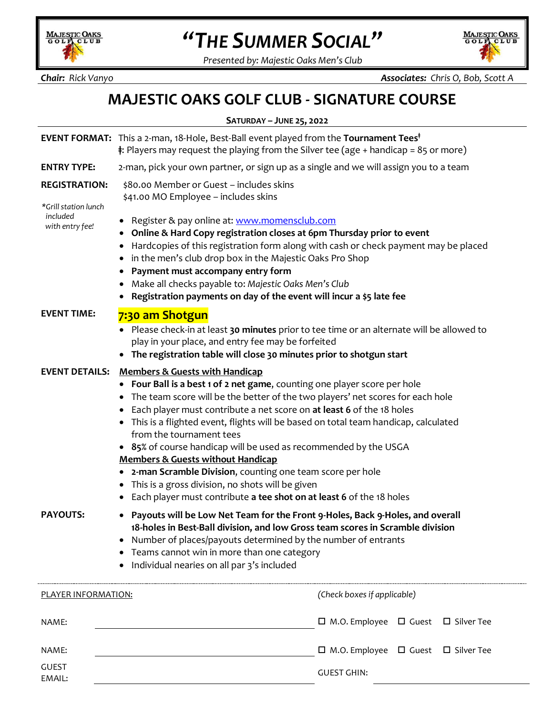

## *"THE SUMMER SOCIAL"*

*Presented by: Majestic Oaks Men's Club*

MAJESTIC OAKS ζ.

*Chair: Rick Vanyo Associates: Chris O, Bob, Scott A*

## **MAJESTIC OAKS GOLF CLUB - SIGNATURE COURSE**

| SATURDAY - JUNE 25, 2022                     |                                                                                                                                                                                                                                                                                                                                                                                                                                                                                                                                                                                                                                                                                                                                       |                                                     |  |  |  |  |  |
|----------------------------------------------|---------------------------------------------------------------------------------------------------------------------------------------------------------------------------------------------------------------------------------------------------------------------------------------------------------------------------------------------------------------------------------------------------------------------------------------------------------------------------------------------------------------------------------------------------------------------------------------------------------------------------------------------------------------------------------------------------------------------------------------|-----------------------------------------------------|--|--|--|--|--|
|                                              | <b>EVENT FORMAT:</b> This a 2-man, 18-Hole, Best-Ball event played from the <b>Tournament Tees</b> <sup>†</sup><br>$\ddagger$ : Players may request the playing from the Silver tee (age + handicap = 85 or more)                                                                                                                                                                                                                                                                                                                                                                                                                                                                                                                     |                                                     |  |  |  |  |  |
| <b>ENTRY TYPE:</b>                           | 2-man, pick your own partner, or sign up as a single and we will assign you to a team                                                                                                                                                                                                                                                                                                                                                                                                                                                                                                                                                                                                                                                 |                                                     |  |  |  |  |  |
| <b>REGISTRATION:</b><br>*Grill station lunch | \$80.00 Member or Guest - includes skins<br>\$41.00 MO Employee - includes skins                                                                                                                                                                                                                                                                                                                                                                                                                                                                                                                                                                                                                                                      |                                                     |  |  |  |  |  |
| included<br>with entry fee!                  | Register & pay online at: www.momensclub.com<br>Online & Hard Copy registration closes at 6pm Thursday prior to event<br>Hardcopies of this registration form along with cash or check payment may be placed<br>٠<br>in the men's club drop box in the Majestic Oaks Pro Shop<br>٠<br>Payment must accompany entry form<br>Make all checks payable to: Majestic Oaks Men's Club<br>Registration payments on day of the event will incur a \$5 late fee                                                                                                                                                                                                                                                                                |                                                     |  |  |  |  |  |
| <b>EVENT TIME:</b>                           | 7:30 am Shotgun<br>Please check-in at least 30 minutes prior to tee time or an alternate will be allowed to<br>play in your place, and entry fee may be forfeited<br>The registration table will close 30 minutes prior to shotgun start<br>$\bullet$                                                                                                                                                                                                                                                                                                                                                                                                                                                                                 |                                                     |  |  |  |  |  |
| <b>EVENT DETAILS:</b>                        | <b>Members &amp; Guests with Handicap</b><br>Four Ball is a best 1 of 2 net game, counting one player score per hole<br>The team score will be the better of the two players' net scores for each hole<br>Each player must contribute a net score on at least 6 of the 18 holes<br>٠<br>This is a flighted event, flights will be based on total team handicap, calculated<br>from the tournament tees<br>• 85% of course handicap will be used as recommended by the USGA<br><b>Members &amp; Guests without Handicap</b><br>2-man Scramble Division, counting one team score per hole<br>٠<br>This is a gross division, no shots will be given<br>$\bullet$<br>Each player must contribute a tee shot on at least 6 of the 18 holes |                                                     |  |  |  |  |  |
| <b>PAYOUTS:</b>                              | Payouts will be Low Net Team for the Front 9-Holes, Back 9-Holes, and overall<br>$\bullet$<br>18-holes in Best-Ball division, and low Gross team scores in Scramble division<br>Number of places/payouts determined by the number of entrants<br>$\bullet$<br>Teams cannot win in more than one category<br>Individual nearies on all par 3's included                                                                                                                                                                                                                                                                                                                                                                                |                                                     |  |  |  |  |  |
| PLAYER INFORMATION:                          |                                                                                                                                                                                                                                                                                                                                                                                                                                                                                                                                                                                                                                                                                                                                       | (Check boxes if applicable)                         |  |  |  |  |  |
| NAME:                                        |                                                                                                                                                                                                                                                                                                                                                                                                                                                                                                                                                                                                                                                                                                                                       | $\Box$ M.O. Employee $\Box$ Guest $\Box$ Silver Tee |  |  |  |  |  |
| NAME:                                        |                                                                                                                                                                                                                                                                                                                                                                                                                                                                                                                                                                                                                                                                                                                                       | $\Box$ M.O. Employee $\Box$ Guest $\Box$ Silver Tee |  |  |  |  |  |
| <b>GUEST</b><br>EMAIL:                       |                                                                                                                                                                                                                                                                                                                                                                                                                                                                                                                                                                                                                                                                                                                                       | <b>GUEST GHIN:</b>                                  |  |  |  |  |  |